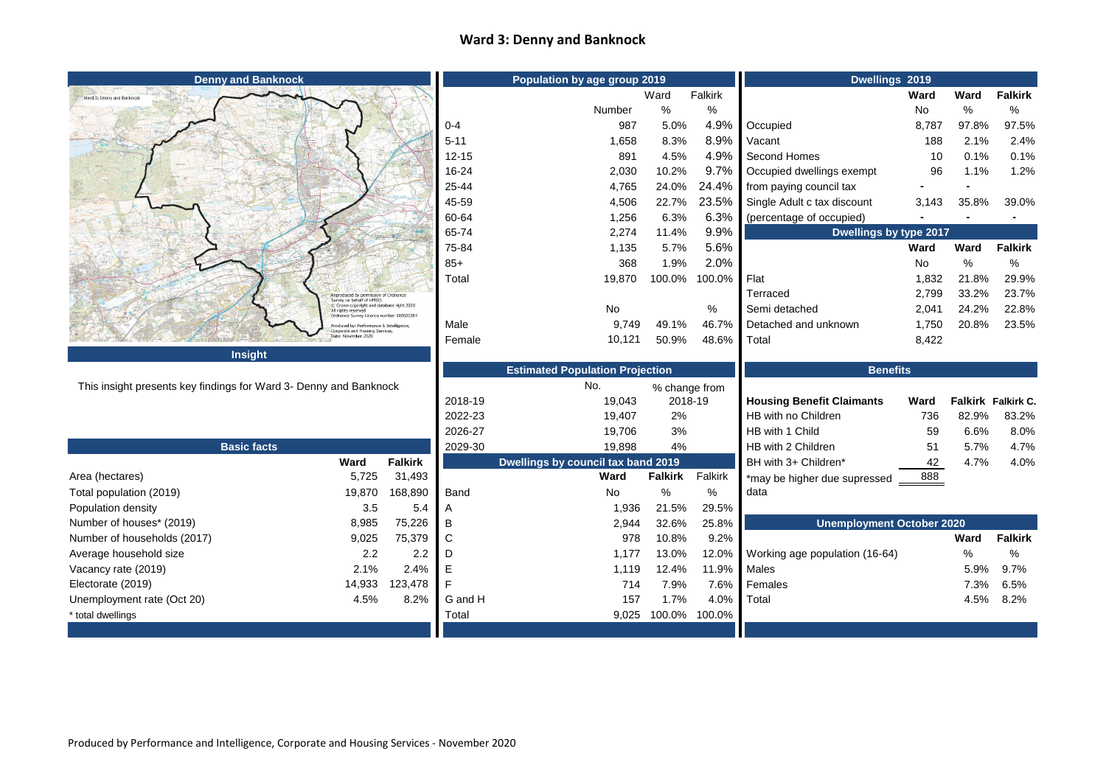## **Ward 3: Denny and Banknock**

| <b>Denny and Banknock</b>                                         |                                                                                                              |                                        | Population by age group 2019 |                                           |                     |             | Dwellings 2019                       |       |       |                    |
|-------------------------------------------------------------------|--------------------------------------------------------------------------------------------------------------|----------------------------------------|------------------------------|-------------------------------------------|---------------------|-------------|--------------------------------------|-------|-------|--------------------|
| Ward 3: Denny and Banknock                                        |                                                                                                              |                                        |                              |                                           | Ward                | Falkirk     |                                      | Ward  | Ward  | <b>Falkirk</b>     |
|                                                                   |                                                                                                              |                                        |                              | Number                                    | $\%$                | %           |                                      | No    | %     | %                  |
|                                                                   |                                                                                                              |                                        | $0 - 4$                      | 987                                       | 5.0%                | 4.9%        | Occupied                             | 8,787 | 97.8% | 97.5%              |
|                                                                   |                                                                                                              |                                        | $5 - 11$                     | 1,658                                     | 8.3%                | 8.9%        | Vacant                               | 188   | 2.1%  | 2.4%               |
|                                                                   |                                                                                                              |                                        | $12 - 15$                    | 891                                       | 4.5%                | 4.9%        | Second Homes                         | 10    | 0.1%  | 0.1%               |
|                                                                   |                                                                                                              |                                        | 16-24                        | 2,030                                     | 10.2%               | 9.7%        | Occupied dwellings exempt            | 96    | 1.1%  | 1.2%               |
|                                                                   |                                                                                                              |                                        | 25-44                        | 4,765                                     | 24.0%               | 24.4%       | from paying council tax              |       |       |                    |
|                                                                   |                                                                                                              |                                        | 45-59                        | 4,506                                     | 22.7%               | 23.5%       | Single Adult c tax discount          | 3,143 | 35.8% | 39.0%              |
|                                                                   |                                                                                                              |                                        | 60-64                        | 1,256                                     | 6.3%                | 6.3%        | (percentage of occupied)             |       |       |                    |
|                                                                   |                                                                                                              |                                        | 65-74                        | 2,274                                     | 11.4%               | 9.9%        | Dwellings by type 2017               |       |       |                    |
|                                                                   |                                                                                                              |                                        | 75-84                        | 1,135                                     | 5.7%                | 5.6%        |                                      | Ward  | Ward  | <b>Falkirk</b>     |
|                                                                   |                                                                                                              |                                        | $85+$                        | 368                                       | 1.9%                | 2.0%        |                                      | No    | $\%$  | %                  |
|                                                                   |                                                                                                              |                                        | Total                        | 19,870                                    | 100.0%              | 100.0%      | Flat                                 | 1,832 | 21.8% | 29.9%              |
|                                                                   | Reproduced by permission of Ordnano<br>Survey on behalf of HMSO.                                             |                                        |                              |                                           |                     |             | Terraced                             | 2,799 | 33.2% | 23.7%              |
|                                                                   | C Crown copyright and database right 2020<br>All rights reserved<br>Ordnance Survey Licence number 100023384 |                                        |                              | No                                        |                     | %           | Semi detached                        | 2,041 | 24.2% | 22.8%              |
|                                                                   | roduced by: Performance & Intelligence,<br>Corporate and Housing Services,                                   |                                        | Male                         | 9,749                                     | 49.1%               | 46.7%       | Detached and unknown                 | 1,750 | 20.8% | 23.5%              |
|                                                                   | Date: November 2020                                                                                          |                                        | Female                       | 10,121                                    | 50.9%               | 48.6%       | Total                                | 8,422 |       |                    |
| Insight                                                           |                                                                                                              |                                        |                              |                                           |                     |             |                                      |       |       |                    |
|                                                                   |                                                                                                              | <b>Estimated Population Projection</b> |                              |                                           | <b>Benefits</b>     |             |                                      |       |       |                    |
| This insight presents key findings for Ward 3- Denny and Banknock |                                                                                                              |                                        |                              | No.                                       | % change from       |             |                                      |       |       |                    |
|                                                                   |                                                                                                              |                                        |                              |                                           |                     |             |                                      |       |       |                    |
|                                                                   |                                                                                                              |                                        | 2018-19                      | 19,043                                    | 2018-19             |             | <b>Housing Benefit Claimants</b>     | Ward  |       | Falkirk Falkirk C. |
|                                                                   |                                                                                                              |                                        | 2022-23                      | 19,407                                    | 2%                  |             | HB with no Children                  | 736   | 82.9% | 83.2%              |
|                                                                   |                                                                                                              |                                        | 2026-27                      | 19,706                                    | 3%                  |             | HB with 1 Child                      | 59    | 6.6%  | 8.0%               |
| <b>Basic facts</b>                                                |                                                                                                              |                                        | 2029-30                      | 19,898                                    | 4%                  |             | HB with 2 Children                   | 51    | 5.7%  | 4.7%               |
|                                                                   | Ward                                                                                                         | <b>Falkirk</b>                         |                              | <b>Dwellings by council tax band 2019</b> |                     |             | BH with 3+ Children*                 | 42    | 4.7%  | 4.0%               |
| Area (hectares)                                                   | 5,725                                                                                                        | 31,493                                 |                              | Ward                                      | <b>Falkirk</b>      | Falkirk     | *may be higher due supressed         | 888   |       |                    |
| Total population (2019)                                           | 19,870                                                                                                       | 168,890                                | Band                         | No                                        | %                   | %           | data                                 |       |       |                    |
| Population density                                                | 3.5                                                                                                          | 5.4                                    | A                            | 1,936                                     | 21.5%               | 29.5%       |                                      |       |       |                    |
| Number of houses* (2019)                                          | 8,985                                                                                                        | 75,226                                 | B                            | 2,944                                     | 32.6%               | 25.8%       | <b>Unemployment October 2020</b>     |       |       |                    |
| Number of households (2017)                                       | 9,025                                                                                                        | 75,379                                 | C                            | 978                                       | 10.8%               | 9.2%        |                                      |       | Ward  | <b>Falkirk</b>     |
| Average household size                                            | 2.2                                                                                                          | $2.2\,$                                |                              | 1,177                                     | 13.0%               |             | 12.0% Working age population (16-64) |       | $\%$  | %                  |
| Vacancy rate (2019)                                               | 2.1%                                                                                                         | 2.4%                                   | Е                            | 1,119                                     | 12.4%               | 11.9% Males |                                      |       | 5.9%  | 9.7%               |
| Electorate (2019)                                                 | 14,933                                                                                                       | 123,478                                |                              | 714                                       | 7.9%                |             | 7.6% Females                         |       | 7.3%  | 6.5%               |
| Unemployment rate (Oct 20)                                        | 4.5%                                                                                                         | 8.2%                                   | G and H                      | 157                                       | 1.7%                | 4.0%        | Total                                |       | 4.5%  | $8.2\%$            |
| * total dwellings                                                 |                                                                                                              |                                        | Total                        |                                           | 9,025 100.0% 100.0% |             |                                      |       |       |                    |